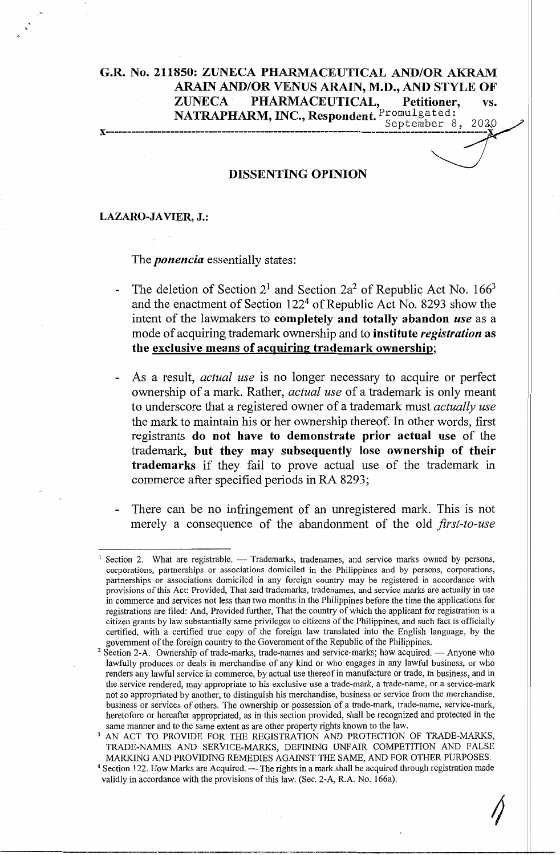# **G.R. No. 211850: ZUNECA PHARMACEUTICAL AND/OR AKRAM ARAIN AND/OR VENUS ARAIN, M.D., AND STYLE OF ZUNECA** · **PHARMACEUTICAL, Petitioner, vs. NATRAPHARM, INC., Respondent.** Promulgated:<br>September 8, 2020

**x-----------------------------------------------------------------------------------------**

#### **DISSENTING OPINION**

#### **LAZARO-JAVIER, J.:**

#### The *ponencia* essentially states:

- The deletion of Section  $2^1$  and Section  $2a^2$  of Republic Act No. 166<sup>3</sup>  $\overline{a}$ and the enactment of Section 1224 of Republic Act No. 8293 show the intent of the lawmakers to **completely and totally abandon** *use* as a mode of acquiring trademark ownership and to **institute** *registration* **as the exclusive means of acquiring trademark ownership;**
- As a result, *actual use* is no longer necessary to acquire or perfect ownership of a mark. Rather, *actual use* of a trademark is only meant to underscore that a registered owner of a trademark must *actually use*  the mark to maintain his or her ownership thereof. In other words, first registrants **do not have to demonstrate prior actual use** of the trademark, **but they may subsequently lose ownership of their trademarks** if they fail to prove actual use of the trademark in commerce after specified periods in RA 8293;
- There can be no infringement of an unregistered mark. This is not merely a consequence of the abandonment of the old *first-to-use*

 $\hat{\gamma}$ 

Section 2. What are registrable. - Trademarks, tradenames, and service marks owned by persons, corporations, partnerships or associations domiciled in the Philippines and by persons, corporations, partnerships or associations domiciled in any foreign country may be registered in accordance with provisions of this Act: Provided, That said trademarks, tradenames, and service marks are actually in use in commerce and services not less than two months in the Philippines before the time the applications for registrations are filed: And, Provided further, That the country of which the applicant for registration is a citizen grants by law substantially same privileges to citizens of the Philippines, and such fact is officially certified, with a certified true copy of the foreign law translated into the English language, by the government of the foreign country to the Government of the Republic of the Philippines.

<sup>&</sup>lt;sup>2</sup> Section 2-A. Ownership of trade-marks, trade-names and service-marks; how acquired. - Anyone who lawfully produces or deals in merchandise of any kind or who engages in any lawful business, or who renders any lawful service in commerce, by actual use thereof in manufacture or trade, in business, and in the service rendered, may appropriate to his exclusive use a trade-mark, a trade-name, or a service-mark not so appropriated by another, to distinguish his merchandise, business or service from the merchandise, business or services of others. The ownership or possession of a trade-mark, trade-name, service-mark, heretofore or hereafter appropriated, as in this section provided, shall be recognized and protected in the same manner and to the same extent as are other property rights known to the law.

<sup>&</sup>lt;sup>3</sup> AN ACT TO PROVIDE FOR THE REGISTRATION AND PROTECTION OF TRADE-MARKS, TRADE-NAMES AND SERVICE-MARKS, DEFINING UNFAIR COMPETITION AND FALSE MARKING AND PROVIDING REMEDIES AGAINST THE SAME, AND FOR OTHER PURPOSES.

<sup>&</sup>lt;sup>4</sup> Section 122. How Marks are Acquired. -- The rights in a mark shall be acquired through registration made validly in accordance with the provisions of this law. (Sec. 2-A, R.A. No. 166a).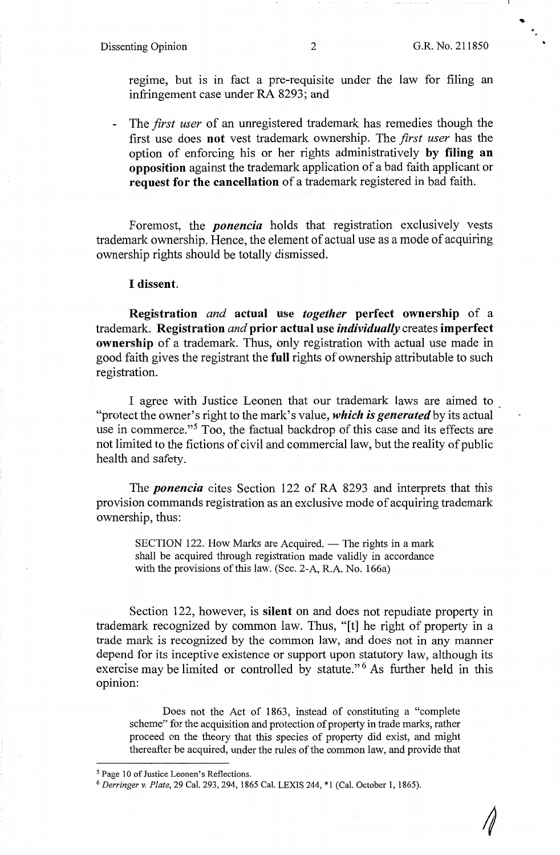## Dissenting Opinion 2 G.R. No. 211850

. ,

 $\sqrt{2}$ 

regime, but is in fact a pre-requisite under the law for filing an infringement case under RA 8293; and

- The *first user* of an unregistered trademark has remedies though the first use does **not** vest trademark ownership. The *first user* has the option of enforcing his or her rights administratively **by filing an opposition** against the trademark application of a bad faith applicant or **request for the cancellation** of a trademark registered in bad faith.

Foremost, the *ponencia* holds that registration exclusively vests trademark ownership. Hence, the element of actual use as a mode of acquiring ownership rights should be totally dismissed.

#### I **dissent.**

**Registration** *and* **actual use** *together* **perfect ownership of a** trademark. **Registration** *and* **prior actual use** *individually* creates **imperfect ownership** of a trademark. Thus, only registration with actual use made in good faith gives the registrant the **full** rights of ownership attributable to such registration.

I agree with Justice Leonen that our trademark laws are aimed to "protect the owner's right to the mark's value, *which is generated* by its actual use in commerce."5 Too, the factual backdrop of this case and its effects are not limited to the fictions of civil and commercial law, but the reality of public health and safety.

The *ponencia* cites Section 122 of **RA** 8293 and interprets that this provision commands registration as an exclusive mode of acquiring trademark ownership, thus:

SECTION 122. How Marks are Acquired. - The rights in a mark shall be acquired through registration made validly in accordance with the provisions of this law. (Sec. 2-A, R.A. No. 166a)

Section 122, however, is **silent** on and does not repudiate property in trademark recognized by common law. Thus, "[t] he right of property in a trade mark is recognized by the common law, and does not in any manner depend for its inceptive existence or support upon statutory law, although its exercise may be limited or controlled by statute."<sup>6</sup> As further held in this opinion:

Does not the Act of 1863, instead of constituting a "complete scheme" for the acquisition and protection of property in trade marks, rather proceed on the theory that this species of property did exist, and might thereafter be acquired, under the rules of the common law, and provide that

<sup>&</sup>lt;sup>5</sup> Page 10 of Justice Leonen's Reflections.

<sup>6</sup>*Derringerv. Plate,* 29 Cal. 293,294, 1865 Cal. LEXIS 244, \*1 (Cal. October 1, 1865).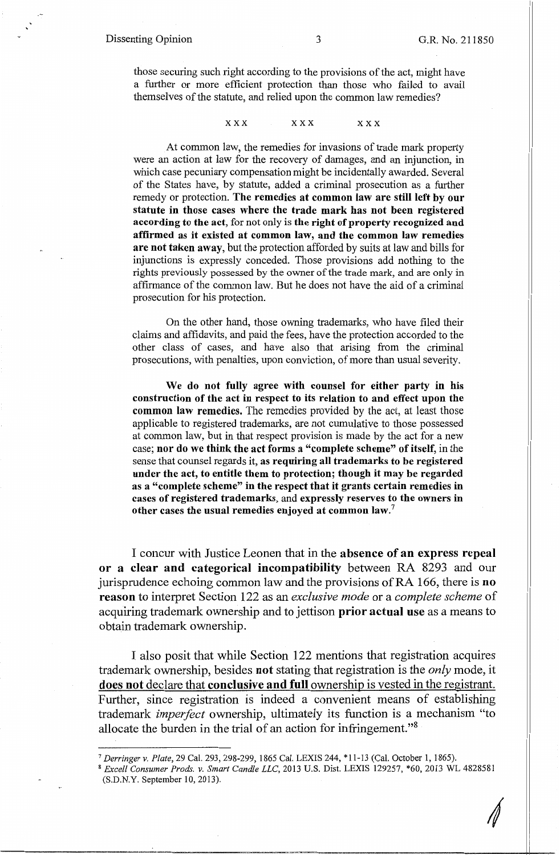those securing such right according to the provisions of the act, might have a further or more efficient protection than those who failed to avail themselves of the statute, and relied upon the common law remedies?

**XXX XXX XXX** 

At common law, the remedies for invasions of trade mark property were an action at law for the recovery of damages, and an injunction, in which case pecuniary compensation might be incidentally awarded. Several of the States have, by statute, added a criminal prosecution as a further remedy or protection. **The remedies at common law are still left by our statute in those cases where the trade mark has not been registered according to the act,** for not only is **the right of property recognized and affirmed as it existed at common law, and the common law remedies are not taken away,** but the protection afforded by suits at law and bills for injunctions is expressly conceded. Those provisions add nothing to the rights previously possessed by the owner of the trade mark, and are only in affirmance of the common law. But he does not have the aid of a criminal prosecution for his protection.

On the other hand, those owning trademarks, who have filed their claims and affidavits, and paid the fees, have the protection accorded to the other class of cases, and have also that arising from the criminal prosecutions, with penalties, upon conviction, of more than usual severity.

**We do not fully agree with counsel for either party in his construction of the act in respect to its relation to and effect upon the common law remedies.** The remedies provided by the act, at least those applicable to registered trademarks, are not cumulative to those possessed at common law, but in that respect provision is made by the act for a new case; **nor do we think the act forms a "complete scheme" of itself,** in the sense that counsel regards it, **as requiring all trademarks to be registered under the act, to entitle them to protection; though it may be regarded as a "complete scheme" in the respect that it grants certain remedies in cases of registered trademarks,** and **expressly reserves to the owners in other cases the usual remedies enjoyed at common law.<sup>7</sup>**

I concur with Justice Leonen that in the **absence of an express repeal or a clear and categorical incompatibility** between RA 8293 and our jurisprudence echoing common law and the provisions of RA 166, there is **no reason** to interpret Section 122 as an *exclusive mode* or a *complete scheme* of acquiring trademark ownership and to jettison **prior actual use** as a means to obtain trademark ownership.

I also posit that while Section 122 mentions that registration acquires trademark ownership, besides **not** stating that registration is the *only* mode, it **does not** declare that **conclusive and full** ownership is vested in the registrant. Further, since registration is indeed a convenient means of establishing trademark *imperfect* ownership, ultimately its function is a mechanism "to allocate the burden in the trial of an action for infringement. "8

<sup>7</sup> *Derringer v. Plate,* 29 Cal. 293, 298-299, 1865 Cal. LEXIS 244, \*11-13 (Cal. October 1, 1865).

<sup>8</sup>*Excell Consumer Prods. v. Smart Candle LLC,* 2013 U.S. Dist. LEXIS 129257, \*60, 2013 WL 4828581 (S.D.N.Y. September 10, 2013).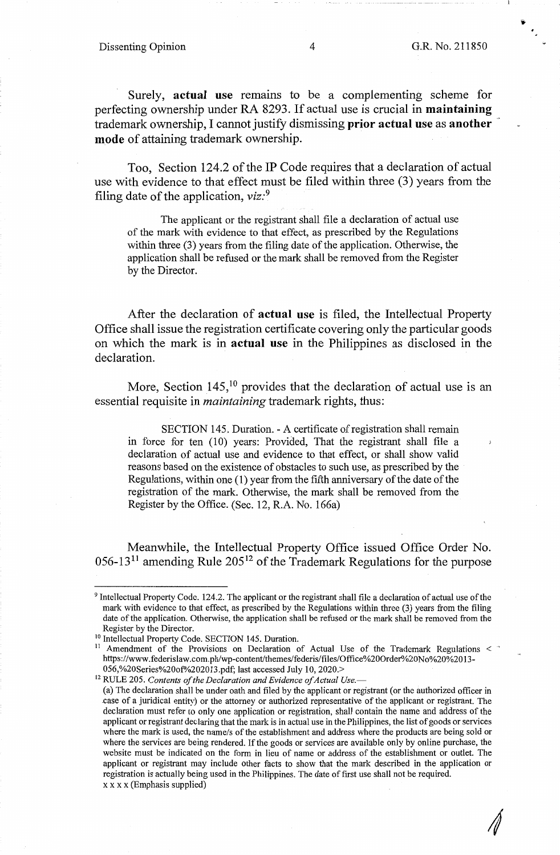. ,

*4* 

Surely, **actual use** remains to be a complementing scheme for perfecting ownership under RA 8293. If actual use is crucial in **maintaining**  trademark ownership, I cannot justify dismissing **prior actual use** as **another mode** of attaining trademark ownership.

Too, Section 124.2 of the IP Code requires that a declaration of actual use with evidence to that effect must be filed within three (3) years from the filing date of the application, *viz:*<sup>9</sup>

The applicant or the registrant shall file a declaration of actual use of the mark with evidence to that effect, as prescribed by the Regulations within three (3) years from the filing date of the application. Otherwise, the application shall be refused or the mark shall be removed from the Register by the Director.

After the declaration of **actual use** is filed, the Intellectual Property Office shall issue the registration certificate covering only the particular goods on which the mark is in **actual use** in the Philippines as disclosed in the declaration.

More, Section  $145$ ,<sup>10</sup> provides that the declaration of actual use is an essential requisite in *maintaining* trademark rights, thus:

SECTION 145. Duration. - A certificate of registration shall remain in force for ten (10) years: Provided, That the registrant shall file a declaration of actual use and evidence to that effect, or shall show valid reasons based on the existence of obstacles to such use, as prescribed by the Regulations, within one (1) year from the fifth anniversary of the date of the registration of the mark. Otherwise, the mark shall be removed from the Register by the Office. (Sec. 12, R.A. No. 166a)

Meanwhile, the Intellectual Property Office issued Office Order No.  $056-13<sup>11</sup>$  amending Rule  $205<sup>12</sup>$  of the Trademark Regulations for the purpose

056,%20Series%20of%202013. pdf; last accessed July 10, 2020.> 12 RULE 205. *Contents of the Declaration and Evidence of Actual Use,-* (a) The declaration shall be under oath and filed by the applicant or registrant (or the authorized officer in \_case of a juridical entity) or the attorney or authorized representative of the applicant or registrant. The declaration must refer to only one application or registration, shall contain the name and address of the applicant or registrant declaring that the mark is in actual use in the Philippines, the list of goods or services where the mark is used, the name/s of the establishment and address where the products are being sold or where the services are being rendered. If the goods or services are available only by online purchase, the website must be indicated on the form in lieu of name or address of the establishment or outlet. The applicant or registrant may include other facts to show that the mark described in the application or registration is actually being used in the Philippines. The date of first use shall not be required. xx x x (Emphasis supplied)

<sup>&</sup>lt;sup>9</sup> Intellectual Property Code. 124.2. The applicant or the registrant shall file a declaration of actual use of the mark with evidence to that effect, as prescribed by the Regulations within three (3) years from the filing date of the application. Otherwise, the application shall be refused or the mark shall be removed from the Register by the Director.

<sup>&</sup>lt;sup>10</sup> Intellectual Property Code. SECTION 145. Duration.

<sup>&</sup>lt;sup>11</sup> Amendment of the Provisions on Declaration of Actual Use of the Trademark Regulations < https://www.federislaw.com.ph/wp-content/themes/federis/files/Office%20Order%20No%20%2013-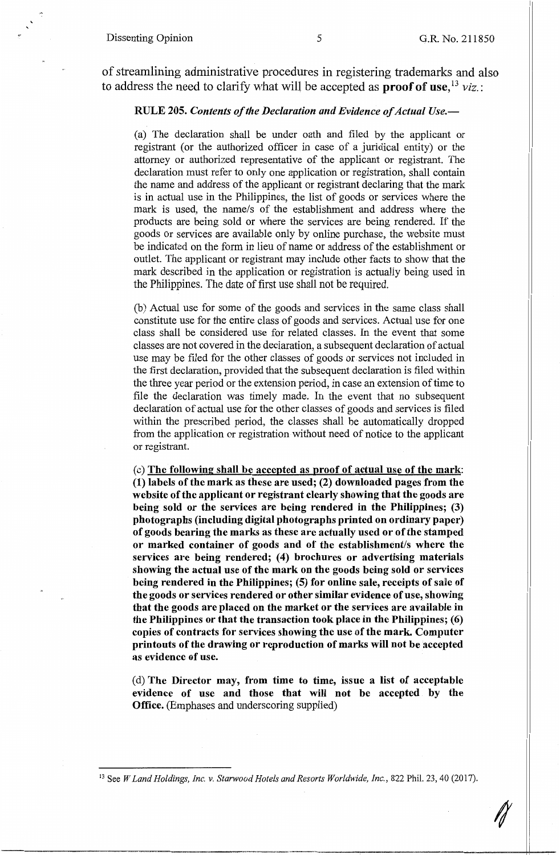of streamlining administrative procedures in registering trademarks and also to address the need to clarify what will be accepted as **proof** of **use,** <sup>13</sup>*viz.:* 

#### **RULE 205.** *Contents of the Declaration and Evidence of Actual Use.-*

(a) The declaration shall be under oath and filed by the applicant or registrant (or the authorized officer in case of a juridical entity) or the attorney or authorized representative of the applicant or registrant. The declaration must refer to only one application or registration, shall contain the name and address of the applicant or registrant declaring that the mark is in actual use in the Philippines, the list of goods or services where the mark is used, the name/s of the establishment and address where the products are being sold or where the services are being rendered. If the goods or services are available only by online purchase, the website must be indicated on the form in lieu of name or address of the establishment or outlet. The applicant or registrant may include other facts to show that the mark described in the application or registration is actually being used in the Philippines. The date of first use shall not be required.

(b) Actual use for some of the goods and services in the same class shall constitute use for the entire class of goods and services. Actual use for one class shall be considered use for related classes. In the event that some classes are not covered in the declaration, a subsequent declaration of actual use may be filed for the other classes of goods or.services not included in the first declaration, provided that the subsequent declaration is filed within the three year period or the extension period, in case an extension of time to file the declaration was timely made. In the event that no subsequent declaration of actual use for the other classes of goods and services is filed within the prescribed period, the classes shall be automatically dropped from the application or registration without need of notice to the applicant or registrant.

( c) **The following shall be accepted as proof of actual use of the mark: (1) labels of the mark as these are used; (2) downloaded pages from the website of the applicant or registrant clearly showing that the goods are being sold or the services are being rendered in the Philippines; (3) photographs (including digital photographs printed on ordinary paper) of goods bearing the marks as these are actually used or of the stamped or marked container of goods and of the establishment/s where the services are being rendered;** ( **4) brochures or advertising materials showing the actual use of the mark on the goods being sold or services being rendered in the Philippines; (5) for online sale, receipts of sale of the goods or services rendered or other similar evidence of use, showing that the goods are placed on the market or the services are available in the Philippines or that the transaction took place in the Philippines; (6) copies of contracts for services showing the use of the mark. Computer printouts of the drawing or reproduction of marks will not be accepted as evidence of use.** 

(d) **The Director may, from time to time, issue a list of acceptable evidence of use and those that will not be accepted by the Office.** (Emphases and underscoring supplied)

13 See *W Land Holdings, Inc. v. Starwood Hotels and Resorts Worldwide, Inc.,* 822 Phil. 23, 40 (2017).

I/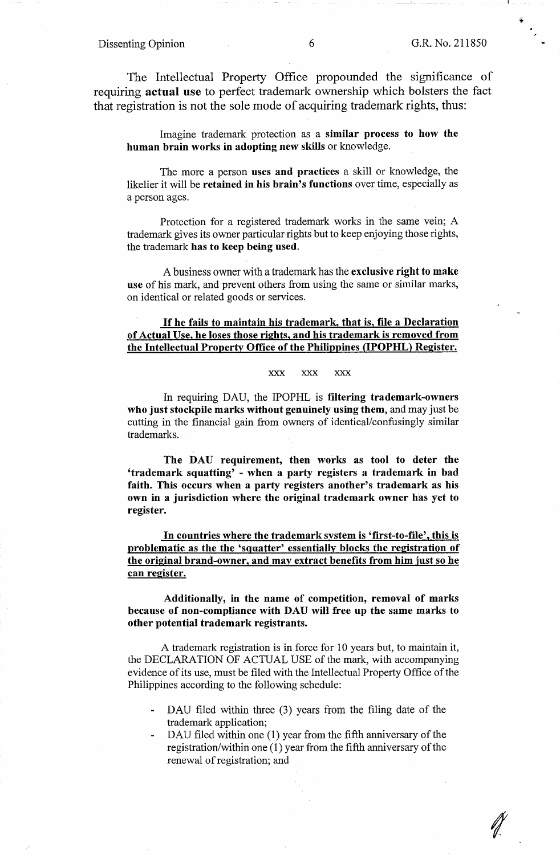The Intellectual Property Office propounded the significance of requiring **actual use** to perfect trademark ownership which bolsters the fact that registration is not the sole mode of acquiring trademark rights, thus:

Imagine trademark protection as a **similar process to how the human brain works in adopting new skills** or knowledge.

The more a person **uses and practices** a skill or knowledge, the likelier it will be **retained in his brain's functions** over time, especially as a person ages.

Protection for a registered trademark works in the same vein; A trademark gives its owner particular rights but to keep enjoying those rights, the trademark **has to keep being used.** 

A business owner with a trademark has the **exclusive right to make use** of his mark, and prevent others from using the same or similar marks, on identical or related goods or services.

### If **he fails to maintain his trademark, that is, file a Declaration of Actual Use, he loses those rights, and his trademark is removed from the Intellectual Property Office of the Philippines GPOPHL) Register.**

#### **XXX XXX XXX**

In requiring DAU, the IPOPHL is **filtering trademark-owners who just stockpile marks without genuinely using them,** and may just be cutting in the financial gain from owners of identical/confusingly similar trademarks.

**The DAU requirement, then works as tool to deter the 'trademark squatting'** - **when** a **party registers a trademark in bad faith. This occurs when a party registers another's trademark as his own in a jurisdiction where the original trademark owner has yet to register.** 

**In countries where the trademark system is 'first-to-file', this is problematic as the the 'squatter' essentially blocks the registration of the original brand-owner, and may extract benefits from him just so he can register.** 

**Additionally, in the name of competition, removal of marks because of non-compliance with DAU will free up the same marks to other potential trademark registrants.** 

A trademark registration is in force for 10 years but, to maintain it, the DECLARATION OF ACTUAL USE of the mark, with accompanying evidence of its use, must be filed with the Intellectual Property Office of the Philippines according to the following schedule:

- DAU filed within three (3) years from the filing date of the trademark application;
- DAU filed within one (1) year from the fifth anniversary of the registration/within one (1) year from the fifth anniversary of the renewal of registration; and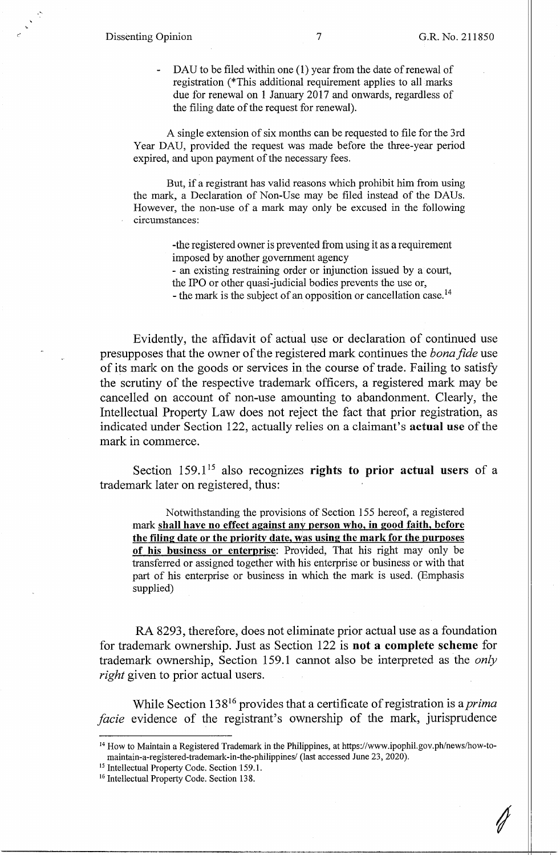DAU to be filed within one (1) year from the date of renewal of registration (\*This additional requirement applies to all marks due for renewal on 1 January 2017 and onwards, regardless of the filing date of the request for renewal).

A single extension of six months can be requested to file for the 3rd Year DAU, provided the request was made before the three-year period expired, and upon payment of the necessary fees.

But, if a registrant has valid reasons which prohibit him from using the mark, a Declaration of Non-Use may be filed instead of the DAUs. However, the non-use of a mark may only be excused in the following circumstances:

> -the registered owner is prevented from using it as a requirement imposed by another government agency

> - an existing restraining order or injunction issued by a court,

the IPO or other quasi-judicial bodies prevents the use or,

- the mark is the subject of an opposition or cancellation case.<sup>14</sup>

Evidently, the affidavit of actual use or declaration of continued use presupposes that the owner of the registered mark continues the *bona fide* use of its mark on the goods or services in the course of trade. Failing to satisfy the scrutiny of the respective trademark officers, a registered mark may be cancelled on account of non-use amounting to abandonment. Clearly, the Intellectual Property Law does not reject the fact that prior registration, as indicated under Section 122, actually relies on a claimant's **actual use** of the mark in commerce.

Section 159.1<sup>15</sup> also recognizes rights to prior actual users of a trademark later on registered, thus:

Notwithstanding the provisions of Section 155 hereof, a registered mark **shall have no effect against any person who, in good faith, before the filing date or the priority date, was using the mark for the purposes of his business or enterprise:** Provided, That his right may only be transferred or assigned together with his enterprise or business or with that part of his enterprise or business in which the mark is used. (Emphasis supplied)

RA 8293, therefore, does not eliminate prior actual use as a foundation for trademark ownership. Just as Section 122 is **not a complete scheme** for trademark ownership, Section 159 .1 cannot also be interpreted as the *only right* given to prior actual users.

While Section 13 816 provides that a certificate of registration is a *prima facie* evidence of the registrant's ownership of the mark, jurisprudence

<sup>14</sup> How to Maintain a Registered Trademark in the Philippines, at https://www.ipophil.gov.ph/news/how-tomaintain-a-registered-trademark-in-the-philippines/ (last accessed June 23, 2020). 15 Intellectual Property Code. Section 159.1.

<sup>&</sup>lt;sup>16</sup> Intellectual Property Code. Section 138.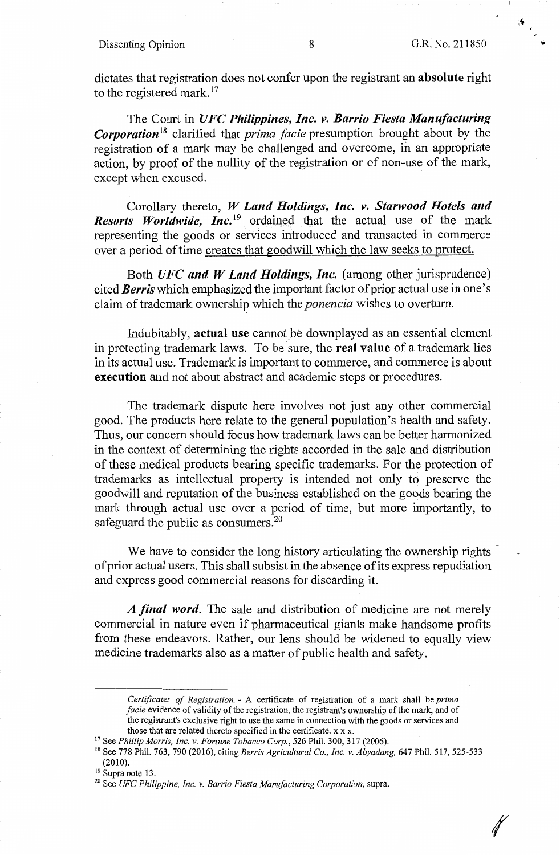#### Dissenting Opinion 8 G.R. No. 211850

dictates that registration does not confer upon the registrant **an.absolute** right to the registered mark.<sup>17</sup>

The Court in *UFC Philippines, Inc. v. Barrio Fiesta Manufacturing Corporation***18** clarified that *prima facie* presumption brought about by the registration of a mark may be challenged and overcome, in an appropriate action, by proof of the nullity of the registration or of non-use of the mark, except when excused.

Corollary thereto, *W Land Holdings, Inc. v. Starwood Hotels and Resorts Worldwide, Inc.*<sup>19</sup> ordained that the actual use of the mark representing the goods or services introduced and transacted in commerce over a period of time creates that goodwill which the law seeks to protect.

Both *UFC and W Land Holdings, Inc.* (among other jurisprudence) cited *Berris* which emphasized the important factor of prior actual use in one's claim of trademark ownership which the *ponencia* wishes to overturn.

Indubitably, **actual use** cannot be downplayed as an essential element in protecting trademark laws. To be sure, the **real value** of a trademark lies in its actual use. Trademark is important to commerce, and commerce is about **execution** and not about abstract and academic steps or procedures.

The trademark dispute here involves not just any other commercial good. The products here relate to the general population's health and safety. Thus, our concern should focus how trademark laws can be better harmonized in the context of determining the rights accorded in the sale and distribution of these medical products bearing specific trademarks. For the protection of trademarks as intellectual property is intended not only to preserve the goodwill and reputation of the business established on the goods bearing the mark through actual use over a period of time, but more importantly, to safeguard the public as consumers.<sup>20</sup>

We have to consider the long history articulating the ownership rights of prior actual users. This shall subsist in the absence of its express repudiation and express good commercial reasons for discarding it.

A *final word.* The sale and distribution of medicine are not merely commercial in nature even if pharmaceutical giants make handsome profits from these endeavors. Rather, our lens should be widened to equally view medicine trademarks also as a matter of public health and safety.

*Certfficates of Registration.* - A certificate of registration of a mark shall be *prima facie* evidence of validity of the registration, the registrant's ownership of the mark, and of the registrant's exclusive right to use the same in connection with the goods or services and those that are related thereto specified in the certificate. x x x.<br><sup>17</sup> See *Phillip Morris, Inc. v. Fortune Tobacco Corp.*, 526 Phil. 300, 317 (2006).

<sup>&</sup>lt;sup>18</sup> See 778 Phil. 763, 790 (2016), citing *Berris Agricultural Co., Inc. v. Abyadang,* 647 Phil. 517, 525-533  $(2010)$ .<br><sup>19</sup> Supra note 13.

<sup>&</sup>lt;sup>20</sup> See *UFC Philippine, Inc. v. Barrio Fiesta Manufacturing Corporation*, supra.